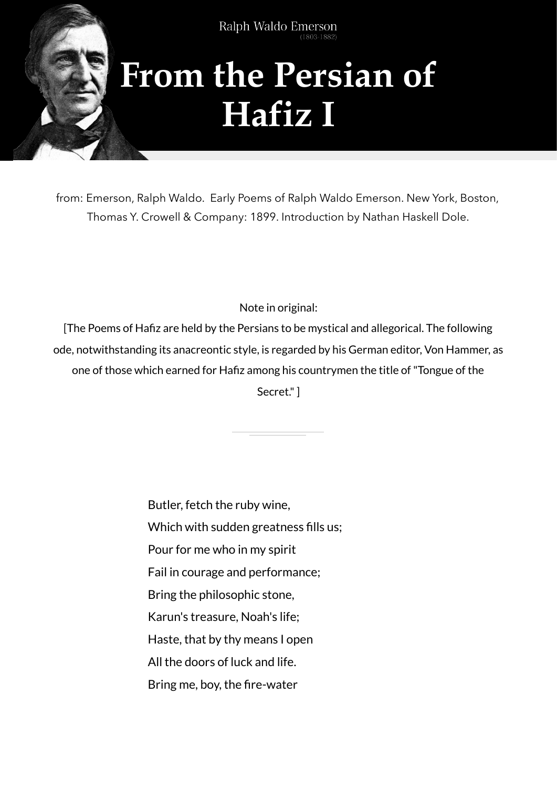

Type to enter the top that the second text of the second text of the second text of the second text of the second text of the second text of the second text of the second text of the second text of the second text of the s

## **From the Persian of Hafiz I**

from: Emerson, Ralph Waldo. Early Poems of Ralph Waldo Emerson. New York, Boston, Thomas Y. Crowell & Company: 1899. Introduction by Nathan Haskell Dole.

Note in original:

[The Poems of Hafiz are held by the Persians to be mystical and allegorical. The following ode, notwithstanding its anacreontic style, is regarded by his German editor, Von Hammer, as one of those which earned for Hafiz among his countrymen the title of "Tongue of the

Secret." ]

Butler, fetch the ruby wine,

Which with sudden greatness fills us;

Pour for me who in my spirit

Fail in courage and performance;

Bring the philosophic stone,

Karun's treasure, Noah's life;

Haste, that by thy means I open

All the doors of luck and life.

Bring me, boy, the fire-water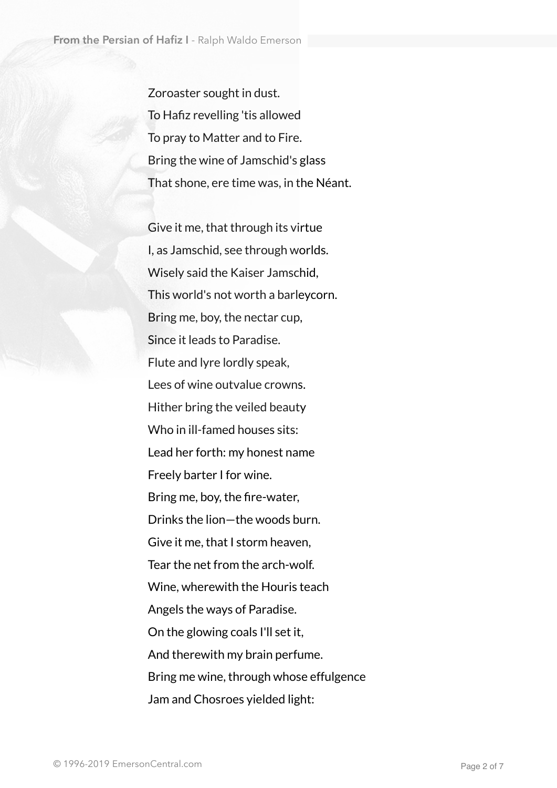Zoroaster sought in dust. To Hafiz revelling 'tis allowed To pray to Matter and to Fire. Bring the wine of Jamschid's glass That shone, ere time was, in the Néant.

 Give it me, that through its virtue I, as Jamschid, see through worlds. Wisely said the Kaiser Jamschid, This world's not worth a barleycorn. Bring me, boy, the nectar cup, Since it leads to Paradise. Flute and lyre lordly speak, Lees of wine outvalue crowns. Hither bring the veiled beauty Who in ill-famed houses sits: Lead her forth: my honest name Freely barter I for wine. Bring me, boy, the fire-water, Drinks the lion—the woods burn. Give it me, that I storm heaven, Tear the net from the arch-wolf. Wine, wherewith the Houris teach Angels the ways of Paradise. On the glowing coals I'll set it, And therewith my brain perfume. Bring me wine, through whose effulgence Jam and Chosroes yielded light: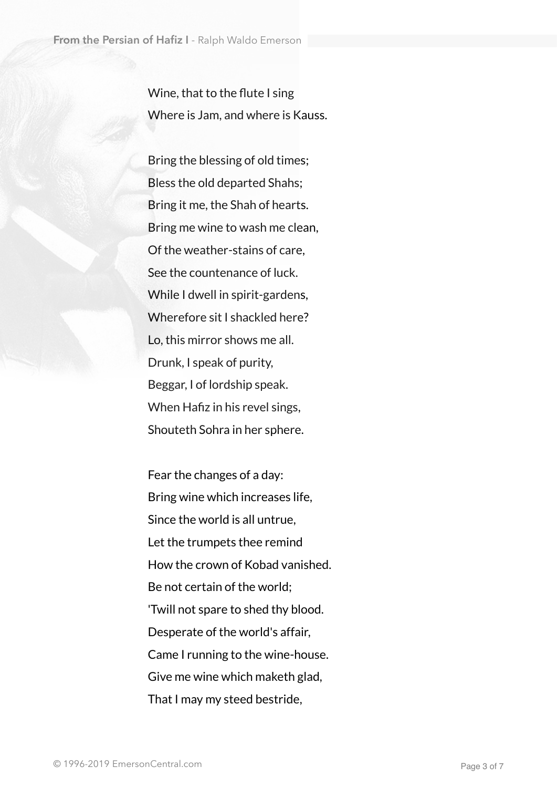Wine, that to the flute I sing Where is Jam, and where is Kauss.

 Bring the blessing of old times; Bless the old departed Shahs; Bring it me, the Shah of hearts. Bring me wine to wash me clean, Of the weather-stains of care, See the countenance of luck. While I dwell in spirit-gardens, Wherefore sit I shackled here? Lo, this mirror shows me all. Drunk, I speak of purity, Beggar, I of lordship speak. When Hafiz in his revel sings, Shouteth Sohra in her sphere.

 Fear the changes of a day: Bring wine which increases life, Since the world is all untrue, Let the trumpets thee remind How the crown of Kobad vanished. Be not certain of the world; 'Twill not spare to shed thy blood. Desperate of the world's affair, Came I running to the wine-house. Give me wine which maketh glad, That I may my steed bestride,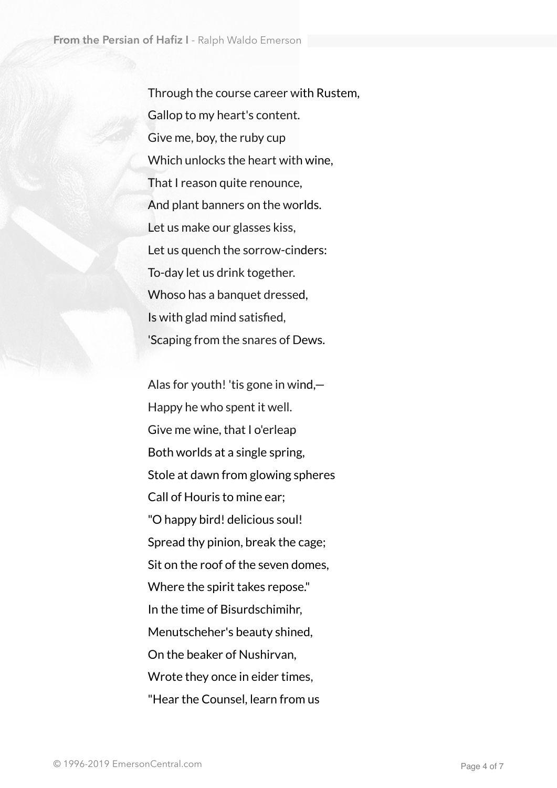Through the course career with Rustem, Gallop to my heart's content. Give me, boy, the ruby cup Which unlocks the heart with wine, That I reason quite renounce, And plant banners on the worlds. Let us make our glasses kiss, Let us quench the sorrow-cinders: To-day let us drink together. Whoso has a banquet dressed, Is with glad mind satisfied, 'Scaping from the snares of Dews.

 Alas for youth! 'tis gone in wind,— Happy he who spent it well. Give me wine, that I o'erleap Both worlds at a single spring, Stole at dawn from glowing spheres Call of Houris to mine ear; "O happy bird! delicious soul! Spread thy pinion, break the cage; Sit on the roof of the seven domes, Where the spirit takes repose." In the time of Bisurdschimihr, Menutscheher's beauty shined, On the beaker of Nushirvan, Wrote they once in eider times, "Hear the Counsel, learn from us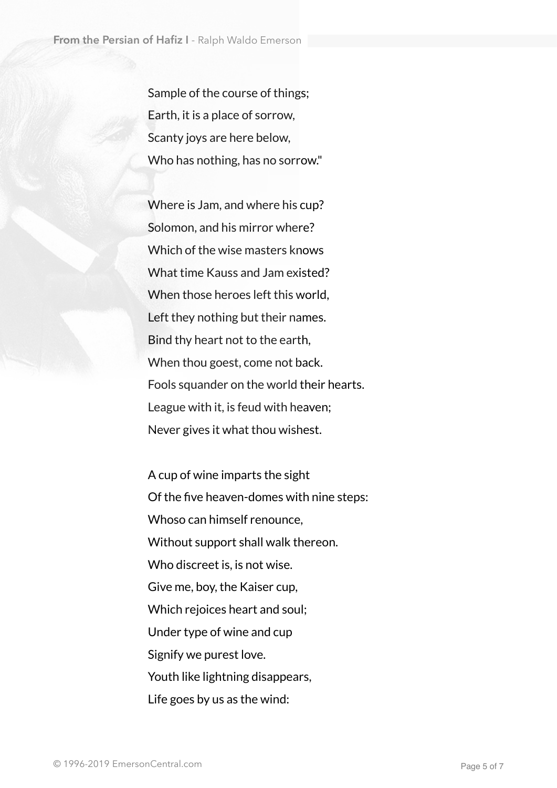Sample of the course of things; Earth, it is a place of sorrow, Scanty joys are here below, Who has nothing, has no sorrow."

 Where is Jam, and where his cup? Solomon, and his mirror where? Which of the wise masters knows What time Kauss and Jam existed? When those heroes left this world, Left they nothing but their names. Bind thy heart not to the earth, When thou goest, come not back. Fools squander on the world their hearts. League with it, is feud with heaven; Never gives it what thou wishest.

 A cup of wine imparts the sight Of the five heaven-domes with nine steps: Whoso can himself renounce, Without support shall walk thereon. Who discreet is, is not wise. Give me, boy, the Kaiser cup, Which rejoices heart and soul; Under type of wine and cup Signify we purest love. Youth like lightning disappears, Life goes by us as the wind: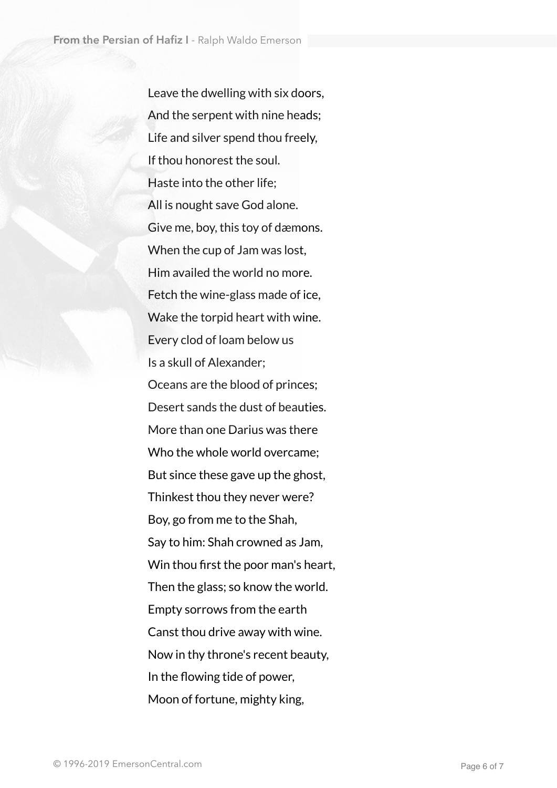Leave the dwelling with six doors, And the serpent with nine heads; Life and silver spend thou freely, If thou honorest the soul. Haste into the other life; All is nought save God alone. Give me, boy, this toy of dæmons. When the cup of Jam was lost, Him availed the world no more. Fetch the wine-glass made of ice, Wake the torpid heart with wine. Every clod of loam below us Is a skull of Alexander; Oceans are the blood of princes; Desert sands the dust of beauties. More than one Darius was there Who the whole world overcame; But since these gave up the ghost, Thinkest thou they never were? Boy, go from me to the Shah, Say to him: Shah crowned as Jam, Win thou first the poor man's heart, Then the glass; so know the world. Empty sorrows from the earth Canst thou drive away with wine. Now in thy throne's recent beauty, In the flowing tide of power, Moon of fortune, mighty king,